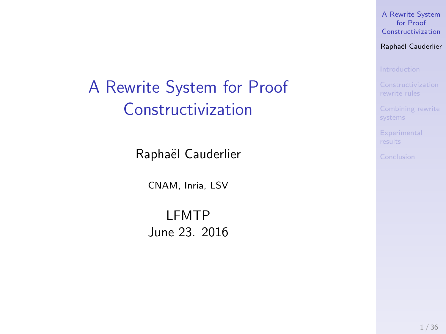[A Rewrite System](#page-42-0) for Proof Constructivization

Raphaël Cauderlier

# <span id="page-0-0"></span>A Rewrite System for Proof Constructivization

Raphaël Cauderlier

CNAM, Inria, LSV

LFMTP June 23. 2016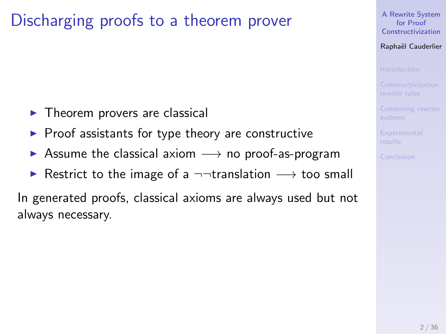# Discharging proofs to a theorem prover

- $\blacktriangleright$  Theorem provers are classical
- $\blacktriangleright$  Proof assistants for type theory are constructive
- $\triangleright$  Assume the classical axiom  $\rightarrow$  no proof-as-program
- $\triangleright$  Restrict to the image of a  $\neg\neg$ translation  $\rightarrow$  too small

In generated proofs, classical axioms are always used but not always necessary.

[A Rewrite System](#page-0-0) for Proof Constructivization

Raphaël Cauderlier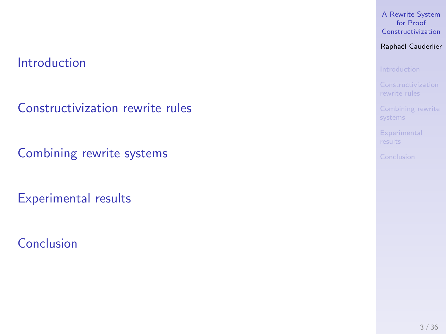### [Introduction](#page-3-0)

[Constructivization rewrite rules](#page-10-0)

[Combining rewrite systems](#page-35-0)

[Experimental results](#page-38-0)

[Conclusion](#page-40-0)

#### [A Rewrite System](#page-0-0) for Proof Constructivization

### Raphaël Cauderlier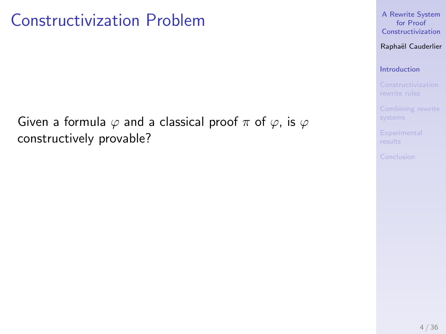## <span id="page-3-0"></span>Constructivization Problem

Given a formula  $\varphi$  and a classical proof  $\pi$  of  $\varphi$ , is  $\varphi$ constructively provable?

[A Rewrite System](#page-0-0) for Proof Constructivization

Raphaël Cauderlier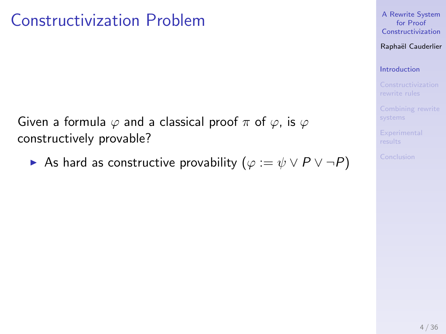## Constructivization Problem

Given a formula  $\varphi$  and a classical proof  $\pi$  of  $\varphi$ , is  $\varphi$ constructively provable?

As hard as constructive provability  $(\varphi := \psi \lor P \lor \neg P)$ 

[A Rewrite System](#page-0-0) for Proof Constructivization

Raphaël Cauderlier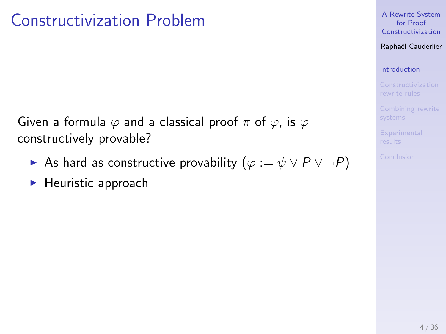# Constructivization Problem

Given a formula  $\varphi$  and a classical proof  $\pi$  of  $\varphi$ , is  $\varphi$ constructively provable?

- As hard as constructive provability  $(\varphi := \psi \lor P \lor \neg P)$
- $\blacktriangleright$  Heuristic approach

[A Rewrite System](#page-0-0) for Proof Constructivization

Raphaël Cauderlier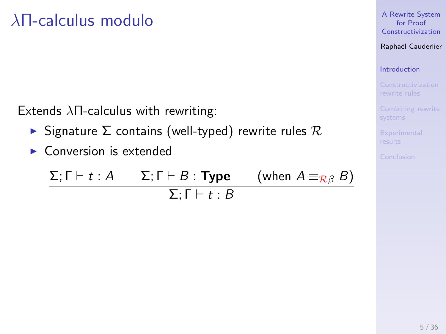# λΠ-calculus modulo

Extends λΠ-calculus with rewriting:

- $\triangleright$  Signature  $\Sigma$  contains (well-typed) rewrite rules  $\mathcal R$
- $\triangleright$  Conversion is extended

$$
\frac{\Sigma; \Gamma \vdash t : A \qquad \Sigma; \Gamma \vdash B : \textbf{Type} \qquad \text{(when } A \equiv_{\mathcal{R}\beta} B\text{)}
$$
\n
$$
\Sigma; \Gamma \vdash t : B
$$

[A Rewrite System](#page-0-0) for Proof Constructivization

Raphaël Cauderlier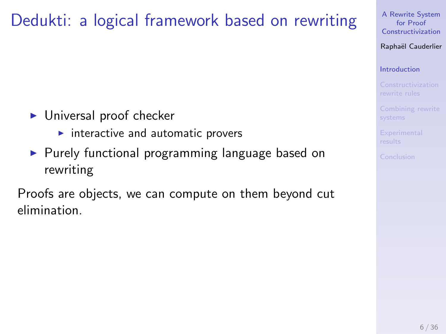# Dedukti: a logical framework based on rewriting

- $\blacktriangleright$  Universal proof checker
	- $\blacktriangleright$  interactive and automatic provers
- $\blacktriangleright$  Purely functional programming language based on rewriting

Proofs are objects, we can compute on them beyond cut elimination.

[A Rewrite System](#page-0-0) for Proof Constructivization

Raphaël Cauderlier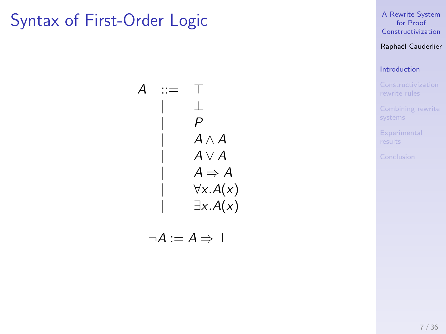## Syntax of First-Order Logic

 $A$  ::= | ⊥  $\mathsf{P}$  $A \wedge A$  $A \vee A$  $A \Rightarrow A$  $\forall x.A(x)$  $\exists x.A(x)$ 

$$
\neg A := A \Rightarrow \bot
$$

[A Rewrite System](#page-0-0) for Proof Constructivization

Raphaël Cauderlier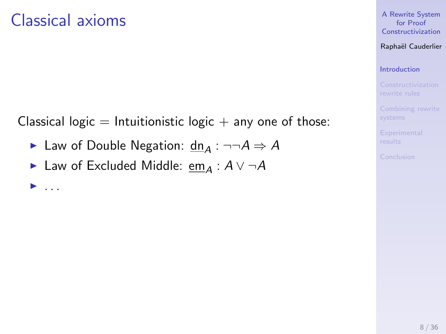## Classical axioms

 $\blacktriangleright$  ...

Classical logic  $=$  Intuitionistic logic  $+$  any one of those:

- ► Law of Double Negation:  $dn_A : \neg\neg A \Rightarrow A$
- ► Law of Excluded Middle: em<sub>A</sub> :  $A \vee \neg A$

### [A Rewrite System](#page-0-0) for Proof Constructivization

### Raphaël Cauderlier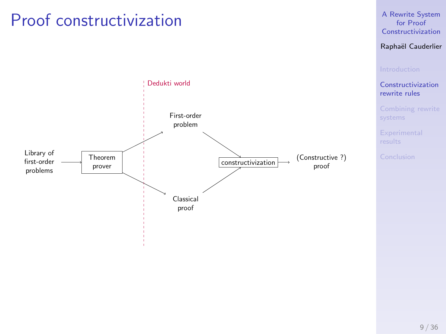## <span id="page-10-0"></span>Proof constructivization



#### [A Rewrite System](#page-0-0) for Proof Constructivization

### Raphaël Cauderlier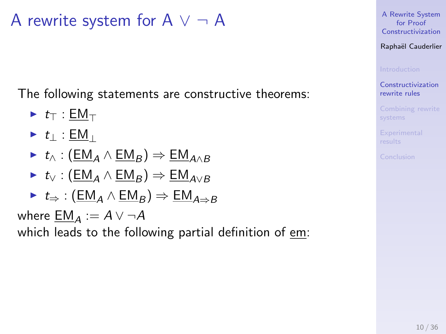A rewrite system for  $A \vee \neg A$ 

The following statements are constructive theorems:

$$
\blacktriangleright t_{\top} : \underline{\mathsf{EM}}_{\top}
$$

$$
\blacktriangleright \hspace{0.1cm} t_{\perp} : \underline{\sf EM}_{\perp}
$$

$$
\blacktriangleright \hspace{0.1cm} t_{\wedge} : (\underline{\mathsf{EM}}_{A} \wedge \underline{\mathsf{EM}}_{B}) \Rightarrow \underline{\mathsf{EM}}_{A \wedge B}
$$

$$
\blacktriangleright \ t_{\vee} : (\underline{\mathsf{EM}}_A \land \underline{\mathsf{EM}}_B) \Rightarrow \underline{\mathsf{EM}}_{A \vee B}
$$

$$
\blacktriangleright \hspace{0.1cm} t_{\Rightarrow} : (\underline{\mathsf{EM}}_A \wedge \underline{\mathsf{EM}}_B) \Rightarrow \underline{\mathsf{EM}}_{A \Rightarrow B}
$$

where  $\underline{EM}_A := A \vee \neg A$ 

which leads to the following partial definition of em:

[A Rewrite System](#page-0-0) for Proof Constructivization

Raphaël Cauderlier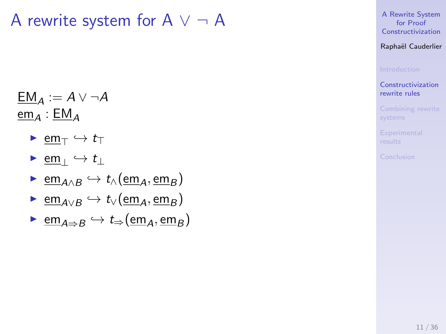A rewrite system for  $A \vee \neg A$ 

$$
\underline{\mathsf{EM}}_A := A \vee \neg A
$$
  

$$
\underline{\mathsf{em}}_A : \underline{\mathsf{EM}}_A
$$

- $\blacktriangleright$  em<sub>T</sub>  $\hookrightarrow$  t<sub>T</sub>
- $\triangleright$  em<sub>⊥</sub>  $\hookrightarrow$  t<sub>⊥</sub>
- $\triangleright$  em<sub>A∧B</sub>  $\hookrightarrow$  t<sub>∧</sub>(em<sub>A</sub>, em<sub>B</sub>)
- $\triangleright$  em<sub>A∨B</sub>  $\hookrightarrow$  t<sub>∨</sub>(em<sub>A</sub>, em<sub>B</sub>)
- $\triangleright$  em<sub>A⇒B</sub>  $\hookrightarrow$  t<sub>⇒</sub>(em<sub>A</sub>, em<sub>B</sub>)

[A Rewrite System](#page-0-0) for Proof Constructivization

Raphaël Cauderlier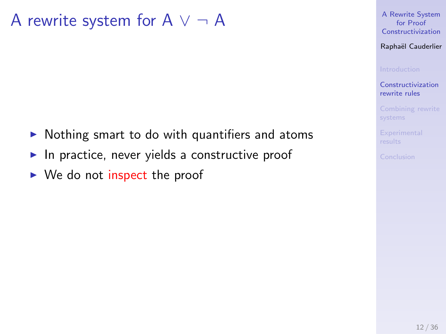A rewrite system for  $A \vee \neg A$ 

- $\triangleright$  Nothing smart to do with quantifiers and atoms
- $\blacktriangleright$  In practice, never yields a constructive proof
- $\triangleright$  We do not inspect the proof

[A Rewrite System](#page-0-0) for Proof Constructivization

Raphaël Cauderlier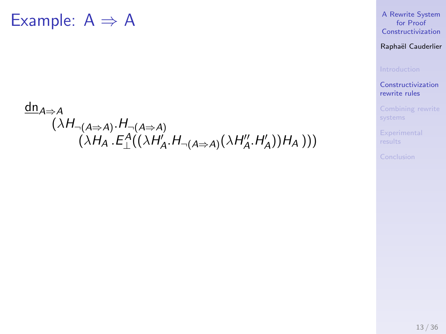## $dn_{A\Rightarrow A}$  $(\lambda H_{\neg(A \Rightarrow A)} . H_{\neg(A \Rightarrow A)}$  $(\lambda H_A.E_\bot^A((\lambda H_A'A,H_{\neg(A \Rightarrow A)}(\lambda H_A''',H_A'))H_A)))$

#### [A Rewrite System](#page-0-0) for Proof Constructivization

### Raphaël Cauderlier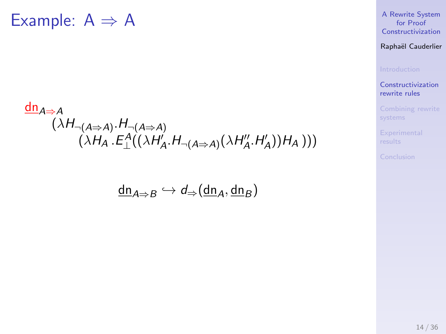## $dn_{A\Rightarrow A}$  $(\lambda H_{\neg(A \Rightarrow A)} . H_{\neg(A \Rightarrow A)}$  $(\lambda H_A.E_\bot^A((\lambda H_A'A,H_{\neg(A \Rightarrow A)}(\lambda H_A''',H_A'))H_A)))$

$$
\underline{\mathsf{dn}}_{A \Rightarrow B} \hookrightarrow \mathsf{d}_{\Rightarrow}(\underline{\mathsf{dn}}_A, \underline{\mathsf{dn}}_B)
$$

#### [A Rewrite System](#page-0-0) for Proof Constructivization

### Raphaël Cauderlier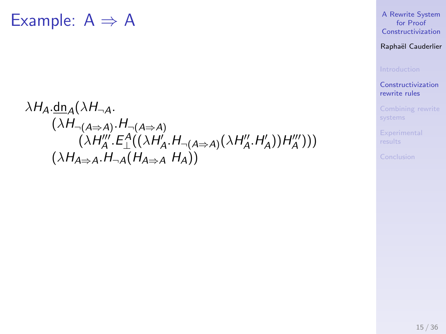$$
\lambda H_{A}.\underline{\text{dn}_{A}}(\lambda H_{\neg A}.\newline (\lambda H_{\neg (A \Rightarrow A)}.H_{\neg (A \Rightarrow A)}.\newline (\lambda H_{A}'''.E_{\perp}^{A}((\lambda H_{A}''.H_{\neg (A \Rightarrow A)}(\lambda H_{A}''.H_{A}'))H_{A}''')))(\lambda H_{A \Rightarrow A}A. H_{\neg A}(H_{A \Rightarrow A} H_{A}))
$$

#### [A Rewrite System](#page-0-0) for Proof **Constructivization**

### Raphaël Cauderlier

[Constructivization](#page-10-0) rewrite rules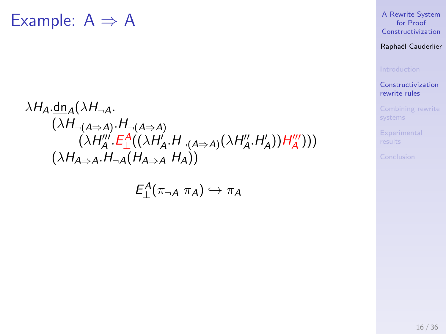$$
\lambda H_A \cdot \frac{dn_A(\lambda H_{\neg A})}{( \lambda H_{\neg (A \Rightarrow A)} \cdot H_{\neg (A \Rightarrow A)}} \cdot ( \lambda H_A^{\prime\prime} \cdot E_{\perp}^A((\lambda H_A^{\prime} \cdot H_{\neg (A \Rightarrow A)}(\lambda H_A^{\prime\prime} \cdot H_A^{\prime}))) H_A^{\prime\prime\prime})))
$$
  

$$
(\lambda H_{A \Rightarrow A} \cdot H_{\neg A}(H_{A \Rightarrow A} H_A))
$$

$$
E_{\perp}^A(\pi_{\neg A} \pi_A) \hookrightarrow \pi_A
$$

#### [A Rewrite System](#page-0-0) for Proof **Constructivization**

### Raphaël Cauderlier

[Constructivization](#page-10-0) rewrite rules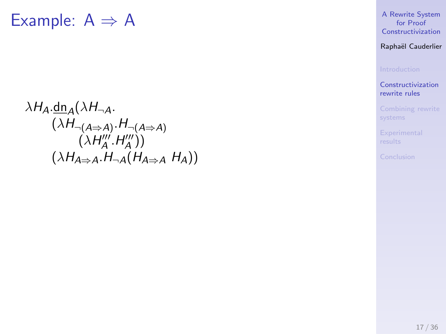$$
\lambda H_A.\underline{\text{dn}_A}(\lambda H_{\neg A}.\newline (\lambda H_{\neg (A \Rightarrow A)}.\underline{H}_{\neg (A \Rightarrow A)}.\newline (\lambda H''_A'.H''_A'))\newline (\lambda H_{A \Rightarrow A}.\underline{H}_{\neg A}(\underline{H}_{A \Rightarrow A} H_A))
$$

[A Rewrite System](#page-0-0) for Proof **Constructivization** 

Raphaël Cauderlier

[Constructivization](#page-10-0) rewrite rules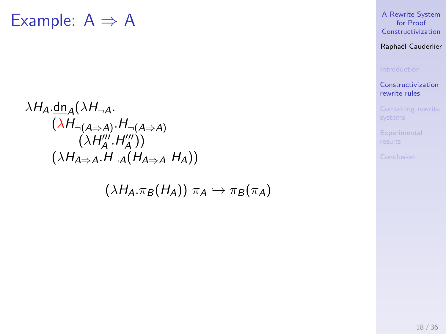$$
\lambda H_{A}.\underline{\text{dn}_{A}}(\lambda H_{\neg A}.\newline (\lambda H_{\neg (A \Rightarrow A)}.\underline{H}_{\neg (A \Rightarrow A)}.\newline (\lambda H''_{A}.\underline{H}''_{A})))\newline (\lambda H_{A \Rightarrow A}.\underline{H}_{\neg A}(\underline{H}_{A \Rightarrow A} \underline{H}_{A}))
$$

 $(\lambda H_A \pi_B (H_A)) \pi_A \hookrightarrow \pi_B (\pi_A)$ 

[A Rewrite System](#page-0-0) for Proof Constructivization

Raphaël Cauderlier

[Constructivization](#page-10-0) rewrite rules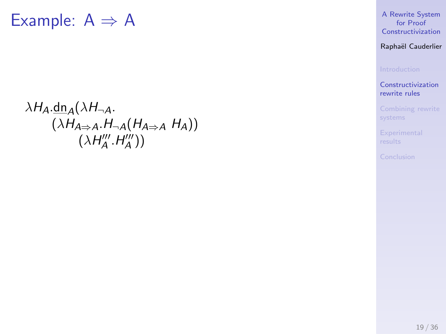$$
\lambda H_{A}.\underline{\text{dn}_{A}}(\lambda H_{\neg A}.\underline{\text{H}}_{A})
$$
  

$$
(\lambda H_{A \Rightarrow A}.\underline{\text{H}}_{\neg A}(H_{A \Rightarrow A} H_{A}))
$$
  

$$
(\lambda H''_{A}.\underline{\text{H}}'_{A}'))
$$

[A Rewrite System](#page-0-0) for Proof Constructivization

Raphaël Cauderlier

[Constructivization](#page-10-0) rewrite rules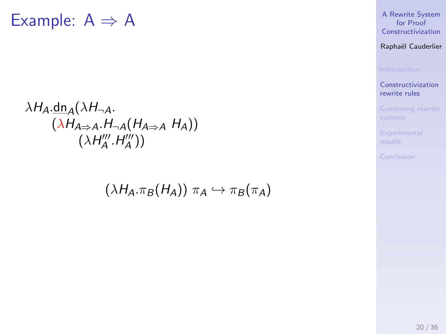$$
\lambda H_{A}.\underline{\text{dn}_{A}}(\lambda H_{\neg A}.\underline{\text{H}_{\neg A}}(H_{A\Rightarrow A} H_{A}))
$$
  

$$
(\lambda H_{A'}''', H_{A''}'''))
$$

 $(\lambda H_A. \pi_B (H_A)) \pi_A \hookrightarrow \pi_B (\pi_A)$ 

[A Rewrite System](#page-0-0) for Proof Constructivization

Raphaël Cauderlier

[Constructivization](#page-10-0) rewrite rules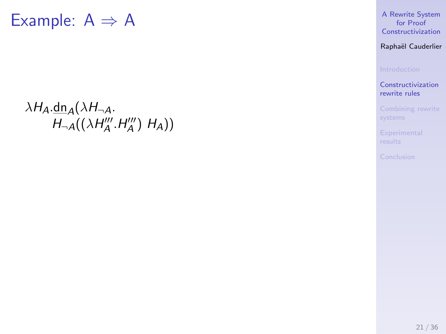$\lambda H_A \cdot \underline{dn}_A(\lambda H_{\neg A}).$  $H_{\neg A}((\lambda H_A''', H_A''') H_A))$  [A Rewrite System](#page-0-0) for Proof Constructivization

Raphaël Cauderlier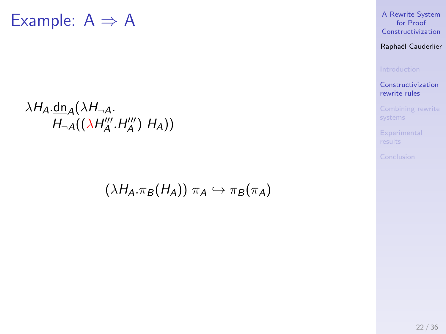$\lambda H_A \cdot \text{dn}_A(\lambda H_{\neg A}).$  $H_{\neg A}((\lambda H_A''',H_A''') H_A))$ 

 $(\lambda H_A. \pi_B (H_A)) \pi_A \hookrightarrow \pi_B (\pi_A)$ 

[A Rewrite System](#page-0-0) for Proof Constructivization

Raphaël Cauderlier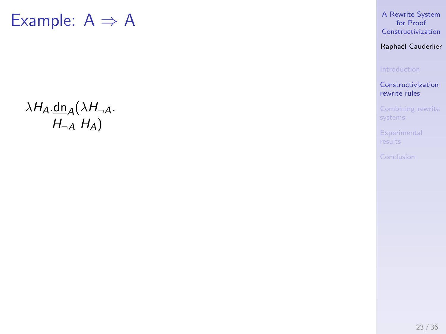$\lambda H_A \cdot \underline{dn}_A(\lambda H_{\neg A}).$  $H_{\neg A}$   $H_A$ )

[A Rewrite System](#page-0-0) for Proof Constructivization

Raphaël Cauderlier

[Constructivization](#page-10-0) rewrite rules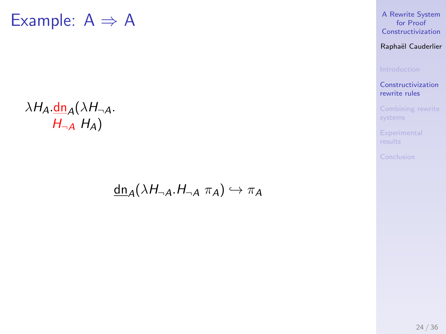## $\lambda H_A \cdot \frac{dn}{d\lambda} (\lambda H_{\neg A}).$  $H_{\neg A}$   $H_A$ )

### $\underline{\text{dn}}_A(\lambda H_{\neg A}.H_{\neg A} \pi_A) \hookrightarrow \pi_A$

[A Rewrite System](#page-0-0) for Proof Constructivization

Raphaël Cauderlier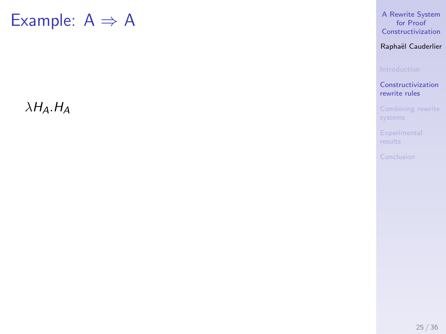$\lambda H_A$ . $H_A$ 

[A Rewrite System](#page-0-0) for Proof Constructivization

Raphaël Cauderlier

[Constructivization](#page-10-0) rewrite rules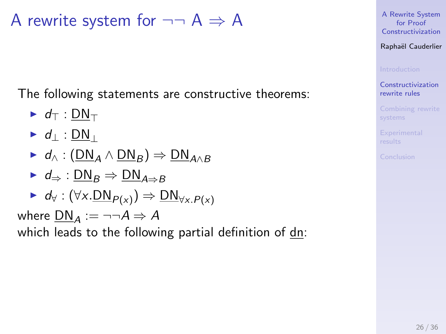The following statements are constructive theorems:

$$
\blacktriangleright d_{\top} : \underline{\sf DN}_{\top}
$$

$$
\blacktriangleright d_{\perp} : \underline{\sf DN}_{\perp}
$$

$$
\blacktriangleright d_{\wedge} : (\underline{\mathsf{DN}}_A \wedge \underline{\mathsf{DN}}_B) \Rightarrow \underline{\mathsf{DN}}_{A \wedge B}
$$

 $\blacktriangleright$  d<sub>⇒</sub> :  $DN_B \Rightarrow DN_{A\Rightarrow B}$ 

$$
\blacktriangleright d_{\forall}: (\forall x. \underline{\mathsf{DN}}_{P(x)}) \Rightarrow \underline{\mathsf{DN}}_{\forall x. P(x)}
$$

where  $DM_A := \neg\neg A \Rightarrow A$ 

which leads to the following partial definition of dn:

[A Rewrite System](#page-0-0) for Proof Constructivization

Raphaël Cauderlier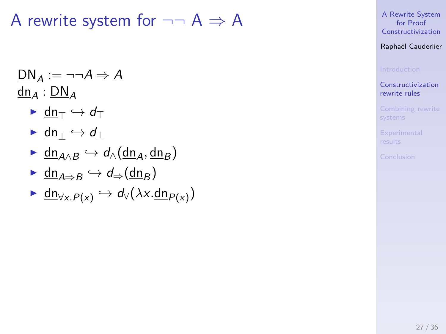$$
\frac{DN_A := \neg \neg A \Rightarrow A}{\underline{dn}_A : DN_A}
$$

- $\blacktriangleright$  dn<sub>T</sub>  $\hookrightarrow$  d<sub>T</sub>
- $\blacktriangleright$  dn<sub>⊥</sub>  $\hookrightarrow$  d<sub>⊥</sub>
- $\blacktriangleright$  dn<sub>A∧B</sub>  $\hookrightarrow$  d<sub>∧</sub>(dn<sub>A</sub>, dn<sub>B</sub>)
- $\blacksquare$  dn<sub>A⇒B</sub>  $\hookrightarrow$  d<sub>⇒</sub>(dn<sub>B</sub>)
- $\blacktriangleright \underline{\mathsf{dn}}_{\forall x. P(x)} \hookrightarrow \mathsf{d}_{\forall}(\lambda x. \underline{\mathsf{dn}}_{P(x)})$

[A Rewrite System](#page-0-0) for Proof Constructivization

Raphaël Cauderlier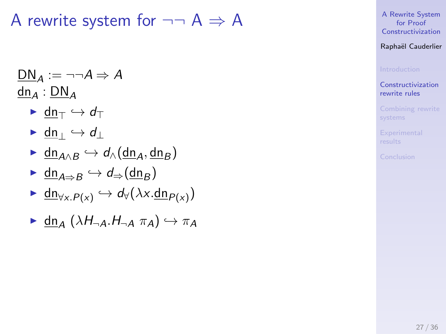$$
\frac{\mathsf{DN}_A := \neg \neg A \Rightarrow A}{\mathsf{dn}_A : \mathsf{DN}_A}
$$

- $\blacktriangleright$  dn<sub>T</sub>  $\hookrightarrow$  d<sub>T</sub>
- $\blacktriangleright$  dn<sub>⊥</sub>  $\hookrightarrow$  d<sub>⊥</sub>
- $\triangleright$  dn<sub>A∧B</sub>  $\hookrightarrow$  d<sub>∧</sub>(dn<sub>A</sub>, dn<sub>B</sub>)
- $\blacktriangleright$  dn<sub>A⇒B</sub>  $\hookrightarrow$  d<sub>⇒</sub>(dn<sub>B</sub>)
- $\blacktriangleright \underline{\mathsf{dn}}_{\forall x. P(x)} \hookrightarrow \mathsf{d}_{\forall}(\lambda x. \underline{\mathsf{dn}}_{P(x)})$
- $\blacktriangleright$  dn<sub>A</sub>  $(\lambda H_{\neg A}.H_{\neg A} \pi_A) \hookrightarrow \pi_A$

[A Rewrite System](#page-0-0) for Proof Constructivization

Raphaël Cauderlier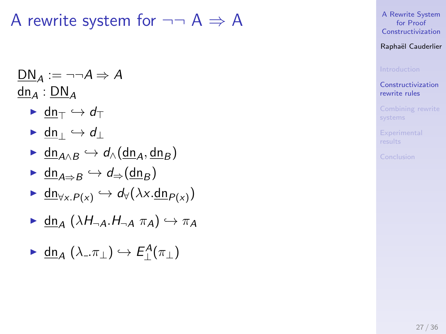$$
\frac{\mathsf{DN}_A := \neg \neg A \Rightarrow A}{\mathsf{dn}_A : \mathsf{DN}_A}
$$

- $\blacktriangleright$  dn<sub>T</sub>  $\hookrightarrow$  d<sub>T</sub>
- $\blacktriangleright$  dn<sub>⊥</sub>  $\hookrightarrow$  d<sub>⊥</sub>
- $\triangleright$  dn<sub>A∧B</sub>  $\hookrightarrow$  d<sub>∧</sub>(dn<sub>A</sub>, dn<sub>B</sub>)
- $\triangleright$  dn<sub>A⇒B</sub>  $\hookrightarrow$  d<sub>⇒</sub>(dn<sub>B</sub>)
- $\blacktriangleright \underline{\mathsf{dn}}_{\forall x. P(x)} \hookrightarrow \mathsf{d}_{\forall}(\lambda x. \underline{\mathsf{dn}}_{P(x)})$
- $\blacktriangleright$  dn<sub>A</sub>  $(\lambda H_{\neg A}.H_{\neg A} \pi_A) \hookrightarrow \pi_A$
- $\blacktriangleright$  dn<sub>A</sub> ( $\lambda_-\pi_\perp$ )  $\hookrightarrow$   $E_{\perp}^A(\pi_\perp)$

[A Rewrite System](#page-0-0) for Proof Constructivization

Raphaël Cauderlier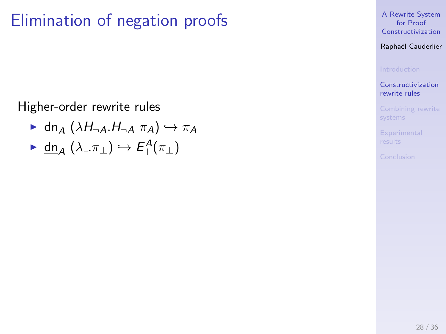# Elimination of negation proofs

Higher-order rewrite rules

- $\blacktriangleright$  dn<sub>A</sub>  $(\lambda H_{\neg A}.H_{\neg A} \pi_A) \hookrightarrow \pi_A$
- $\blacktriangleright$  dn<sub>A</sub> ( $\lambda_-\pi_\perp$ )  $\hookrightarrow$   $E_{\perp}^A(\pi_\perp)$

[A Rewrite System](#page-0-0) for Proof Constructivization

Raphaël Cauderlier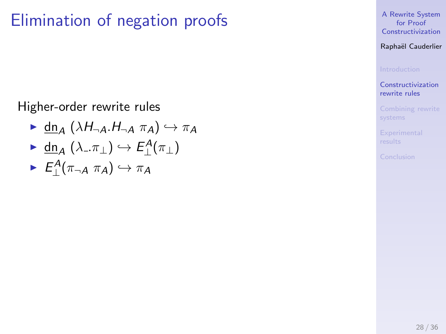# Elimination of negation proofs

Higher-order rewrite rules

- $\blacktriangleright$  dn<sub>A</sub>  $(\lambda H_{\neg A}.H_{\neg A} \pi_A) \hookrightarrow \pi_A$
- $\blacktriangleright$  dn<sub>A</sub> ( $\lambda_-\pi_\perp$ )  $\hookrightarrow$   $E_{\perp}^A(\pi_\perp)$
- $\blacktriangleright$   $E_{\perp}^A(\pi_{\neg A} \pi_A) \hookrightarrow \pi_A$

[A Rewrite System](#page-0-0) for Proof Constructivization

Raphaël Cauderlier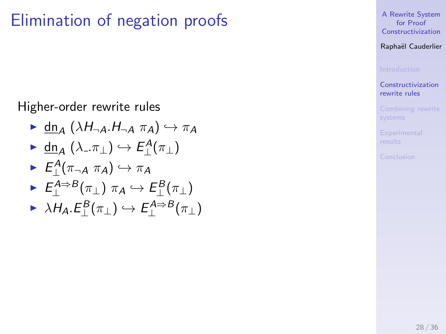# Elimination of negation proofs

Higher-order rewrite rules

- $\blacktriangleright$  dn<sub>A</sub>  $(\lambda H_{\neg A}.H_{\neg A} \pi_A) \hookrightarrow \pi_A$
- $\blacktriangleright$  dn<sub>A</sub> ( $\lambda_-\pi_\perp$ )  $\hookrightarrow$   $E_{\perp}^A(\pi_\perp)$
- $\blacktriangleright$   $E_{\perp}^A(\pi_{\neg A} \pi_A) \hookrightarrow \pi_A$
- $\blacktriangleright$   $E_{\perp}^{A\Rightarrow B}(\pi_{\perp})$   $\pi_{A}\hookrightarrow E_{\perp}^{B}(\pi_{\perp})$
- $\triangleright$   $\lambda H_A.E_\bot^B(\pi_\bot) \hookrightarrow E_\bot^{A \Rightarrow B}(\pi_\bot)$

[A Rewrite System](#page-0-0) for Proof Constructivization

Raphaël Cauderlier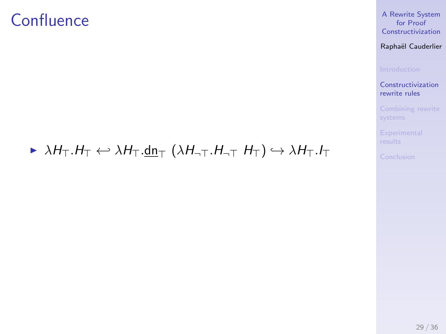## **Confluence**

#### [A Rewrite System](#page-0-0) for Proof Constructivization

#### Raphaël Cauderlier

[Constructivization](#page-10-0) rewrite rules

### $\triangleright \lambda H_{\top}.H_{\top} \leftrightarrow \lambda H_{\top}.\underline{\mathsf{dn}}_{\top} (\lambda H_{\neg \top}.H_{\neg \top} H_{\top}) \hookrightarrow \lambda H_{\top}.I_{\top}$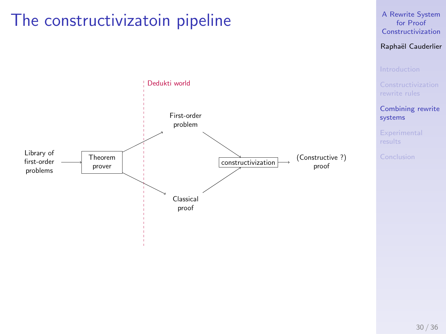# <span id="page-35-0"></span>The constructivizatoin pipeline



#### [A Rewrite System](#page-0-0) for Proof Constructivization

### Raphaël Cauderlier

30 / 36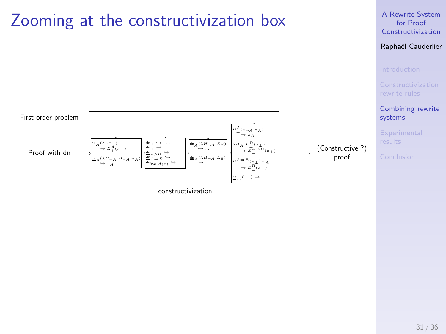# Zooming at the constructivization box





[Combining rewrite](#page-35-0) systems

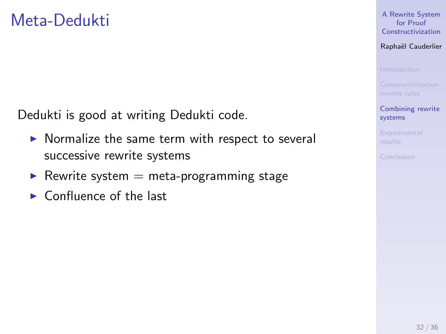Dedukti is good at writing Dedukti code.

- $\triangleright$  Normalize the same term with respect to several successive rewrite systems
- Rewrite system  $=$  meta-programming stage
- $\blacktriangleright$  Confluence of the last

[A Rewrite System](#page-0-0) for Proof Constructivization

Raphaël Cauderlier

[Combining rewrite](#page-35-0) systems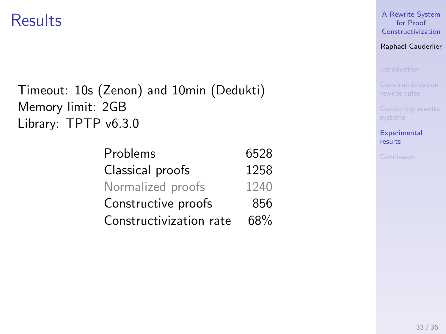## <span id="page-38-0"></span>**Results**

### Timeout: 10s (Zenon) and 10min (Dedukti) Memory limit: 2GB Library: TPTP v6.3.0

÷.

| Problems                | 6528 |
|-------------------------|------|
| Classical proofs        | 1258 |
| Normalized proofs       | 1240 |
| Constructive proofs     | 856  |
| Constructivization rate | 68%  |

[A Rewrite System](#page-0-0) for Proof Constructivization

Raphaël Cauderlier

**[Experimental](#page-38-0)** results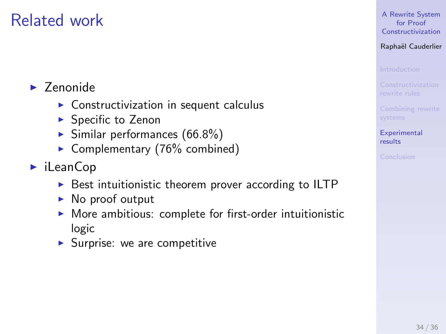## Related work

### $\blacktriangleright$  Zenonide

- $\triangleright$  Constructivization in sequent calculus
- $\blacktriangleright$  Specific to Zenon
- $\blacktriangleright$  Similar performances (66.8%)
- Complementary (76% combined)
- $\blacktriangleright$  iLeanCop
	- $\triangleright$  Best intuitionistic theorem prover according to ILTP
	- $\triangleright$  No proof output
	- $\triangleright$  More ambitious: complete for first-order intuitionistic logic
	- $\blacktriangleright$  Surprise: we are competitive

#### [A Rewrite System](#page-0-0) for Proof Constructivization

### Raphaël Cauderlier

**[Experimental](#page-38-0)** results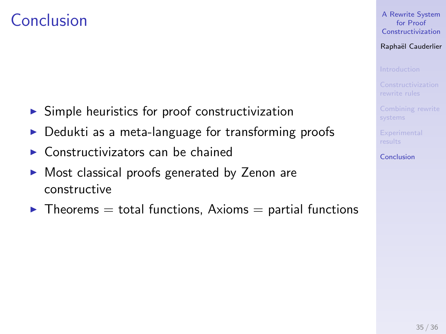## <span id="page-40-0"></span>Conclusion

- $\triangleright$  Simple heuristics for proof constructivization
- Dedukti as a meta-language for transforming proofs
- $\triangleright$  Constructivizators can be chained
- $\triangleright$  Most classical proofs generated by Zenon are constructive
- $\blacktriangleright$  Theorems = total functions, Axioms = partial functions

[A Rewrite System](#page-0-0) for Proof Constructivization

Raphaël Cauderlier

[Conclusion](#page-40-0)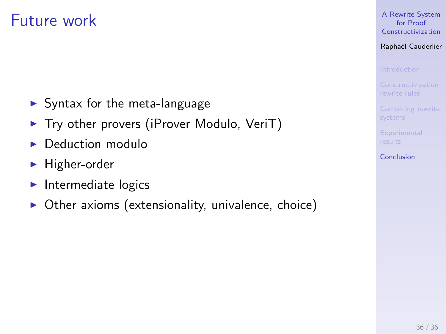## Future work

- $\blacktriangleright$  Syntax for the meta-language
- $\triangleright$  Try other provers (iProver Modulo, VeriT)
- $\blacktriangleright$  Deduction modulo
- $\blacktriangleright$  Higher-order
- $\blacktriangleright$  Intermediate logics
- $\triangleright$  Other axioms (extensionality, univalence, choice)

[A Rewrite System](#page-0-0) for Proof Constructivization

Raphaël Cauderlier

[Conclusion](#page-40-0)